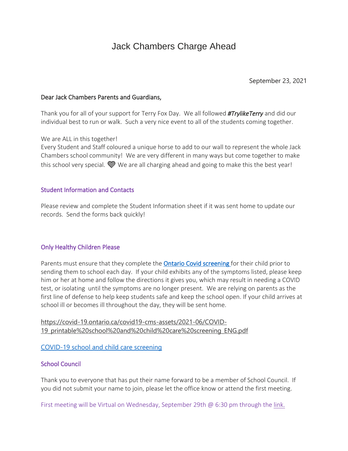# Jack Chambers Charge Ahead

September 23, 2021

#### Dear Jack Chambers Parents and Guardians,

Thank you for all of your support for Terry Fox Day. We all followed *#TrylikeTerry* and did our individual best to run or walk. Such a very nice event to all of the students coming together.

We are ALL in this together!

Every Student and Staff coloured a unique horse to add to our wall to represent the whole Jack Chambers school community! We are very different in many ways but come together to make this school very special.  $\mathcal W$  We are all charging ahead and going to make this the best year!

#### Student Information and Contacts

Please review and complete the Student Information sheet if it was sent home to update our records. Send the forms back quickly!

#### Only Healthy Children Please

Parents must ensure that they complete the [Ontario Covid screening f](https://covid-19.ontario.ca/school-screening/context)or their child prior to sending them to school each day. If your child exhibits any of the symptoms listed, please keep him or her at home and follow the directions it gives you, which may result in needing a COVID test, or isolating until the symptoms are no longer present. We are relying on parents as the first line of defense to help keep students safe and keep the school open. If your child arrives at school ill or becomes ill throughout the day, they will be sent home.

[https://covid-19.ontario.ca/covid19-cms-assets/2021-06/COVID-](http://track.spe.schoolmessenger.com/f/a/J8TN9W086oXdx7BxNS3PlA~~/AAAAAQA~/RgRjGPFqP0R7aHR0cHM6Ly9jb3ZpZC0xOS5vbnRhcmlvLmNhL2NvdmlkMTktY21zLWFzc2V0cy8yMDIxLTA2L0NPVklELTE5X3ByaW50YWJsZSUyMHNjaG9vbCUyMGFuZCUyMGNoaWxkJTIwY2FyZSUyMHNjcmVlbmluZ19FTkcucGRmVwdzY2hvb2xtQgphMOq9N2Hp1vxbUhRqb21hcnRpbjc3QGdtYWlsLmNvbVgEAAAAAg~~)[19\\_printable%20school%20and%20child%20care%20screening\\_ENG.pdf](http://track.spe.schoolmessenger.com/f/a/J8TN9W086oXdx7BxNS3PlA~~/AAAAAQA~/RgRjGPFqP0R7aHR0cHM6Ly9jb3ZpZC0xOS5vbnRhcmlvLmNhL2NvdmlkMTktY21zLWFzc2V0cy8yMDIxLTA2L0NPVklELTE5X3ByaW50YWJsZSUyMHNjaG9vbCUyMGFuZCUyMGNoaWxkJTIwY2FyZSUyMHNjcmVlbmluZ19FTkcucGRmVwdzY2hvb2xtQgphMOq9N2Hp1vxbUhRqb21hcnRpbjc3QGdtYWlsLmNvbVgEAAAAAg~~)

[COVID-19](http://track.spe.schoolmessenger.com/f/a/J8TN9W086oXdx7BxNS3PlA~~/AAAAAQA~/RgRjGPFqP0R7aHR0cHM6Ly9jb3ZpZC0xOS5vbnRhcmlvLmNhL2NvdmlkMTktY21zLWFzc2V0cy8yMDIxLTA2L0NPVklELTE5X3ByaW50YWJsZSUyMHNjaG9vbCUyMGFuZCUyMGNoaWxkJTIwY2FyZSUyMHNjcmVlbmluZ19FTkcucGRmVwdzY2hvb2xtQgphMOq9N2Hp1vxbUhRqb21hcnRpbjc3QGdtYWlsLmNvbVgEAAAAAg~~) school and child care screening

## School Council

Thank you to everyone that has put their name forward to be a member of School Council. If you did not submit your name to join, please let the office know or attend the first meeting.

First meeting will be Virtual on Wednesday, September 29th  $\omega$  6:30 pm through the [link.](https://teams.microsoft.com/l/meetup-join/19%3ameeting_MmI1NGYxZjgtOGQ1Ni00NWRhLTgxMGUtOTNlNDRlNzVhZWRi%40thread.v2/0?context=%7b%22Tid%22%3a%222024c5d6-bed5-4705-98ac-f83e64a78e99%22%2c%22Oid%22%3a%22ca388767-63c7-4846-9112-f9108a052c72%22%7d)